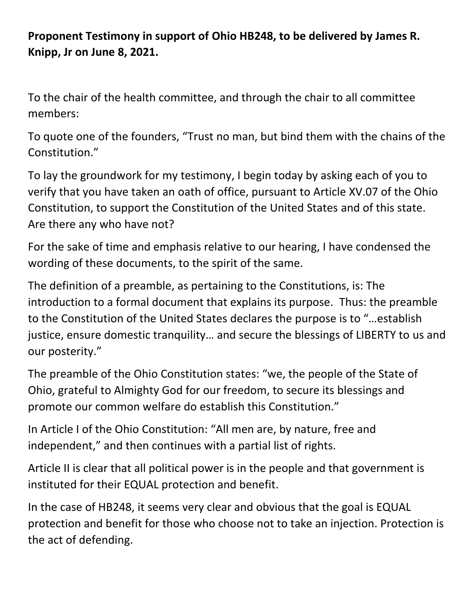**Proponent Testimony in support of Ohio HB248, to be delivered by James R. Knipp, Jr on June 8, 2021.**

To the chair of the health committee, and through the chair to all committee members:

To quote one of the founders, "Trust no man, but bind them with the chains of the Constitution."

To lay the groundwork for my testimony, I begin today by asking each of you to verify that you have taken an oath of office, pursuant to Article XV.07 of the Ohio Constitution, to support the Constitution of the United States and of this state. Are there any who have not?

For the sake of time and emphasis relative to our hearing, I have condensed the wording of these documents, to the spirit of the same.

The definition of a preamble, as pertaining to the Constitutions, is: The introduction to a formal document that explains its purpose. Thus: the preamble to the Constitution of the United States declares the purpose is to "…establish justice, ensure domestic tranquility… and secure the blessings of LIBERTY to us and our posterity."

The preamble of the Ohio Constitution states: "we, the people of the State of Ohio, grateful to Almighty God for our freedom, to secure its blessings and promote our common welfare do establish this Constitution."

In Article I of the Ohio Constitution: "All men are, by nature, free and independent," and then continues with a partial list of rights.

Article II is clear that all political power is in the people and that government is instituted for their EQUAL protection and benefit.

In the case of HB248, it seems very clear and obvious that the goal is EQUAL protection and benefit for those who choose not to take an injection. Protection is the act of defending.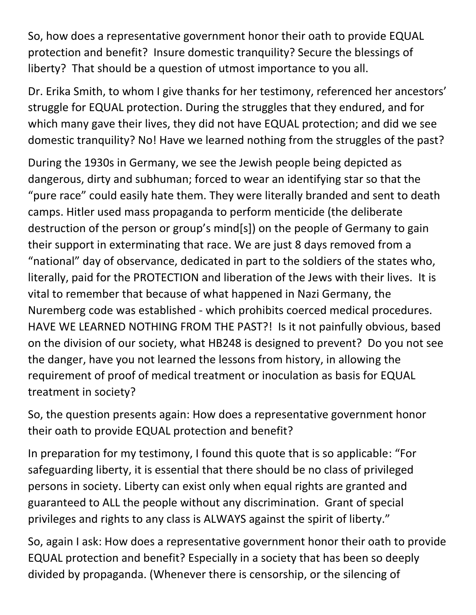So, how does a representative government honor their oath to provide EQUAL protection and benefit? Insure domestic tranquility? Secure the blessings of liberty? That should be a question of utmost importance to you all.

Dr. Erika Smith, to whom I give thanks for her testimony, referenced her ancestors' struggle for EQUAL protection. During the struggles that they endured, and for which many gave their lives, they did not have EQUAL protection; and did we see domestic tranquility? No! Have we learned nothing from the struggles of the past?

During the 1930s in Germany, we see the Jewish people being depicted as dangerous, dirty and subhuman; forced to wear an identifying star so that the "pure race" could easily hate them. They were literally branded and sent to death camps. Hitler used mass propaganda to perform menticide (the deliberate destruction of the person or group's mind[s]) on the people of Germany to gain their support in exterminating that race. We are just 8 days removed from a "national" day of observance, dedicated in part to the soldiers of the states who, literally, paid for the PROTECTION and liberation of the Jews with their lives. It is vital to remember that because of what happened in Nazi Germany, the Nuremberg code was established - which prohibits coerced medical procedures. HAVE WE LEARNED NOTHING FROM THE PAST?! Is it not painfully obvious, based on the division of our society, what HB248 is designed to prevent? Do you not see the danger, have you not learned the lessons from history, in allowing the requirement of proof of medical treatment or inoculation as basis for EQUAL treatment in society?

So, the question presents again: How does a representative government honor their oath to provide EQUAL protection and benefit?

In preparation for my testimony, I found this quote that is so applicable: "For safeguarding liberty, it is essential that there should be no class of privileged persons in society. Liberty can exist only when equal rights are granted and guaranteed to ALL the people without any discrimination. Grant of special privileges and rights to any class is ALWAYS against the spirit of liberty."

So, again I ask: How does a representative government honor their oath to provide EQUAL protection and benefit? Especially in a society that has been so deeply divided by propaganda. (Whenever there is censorship, or the silencing of